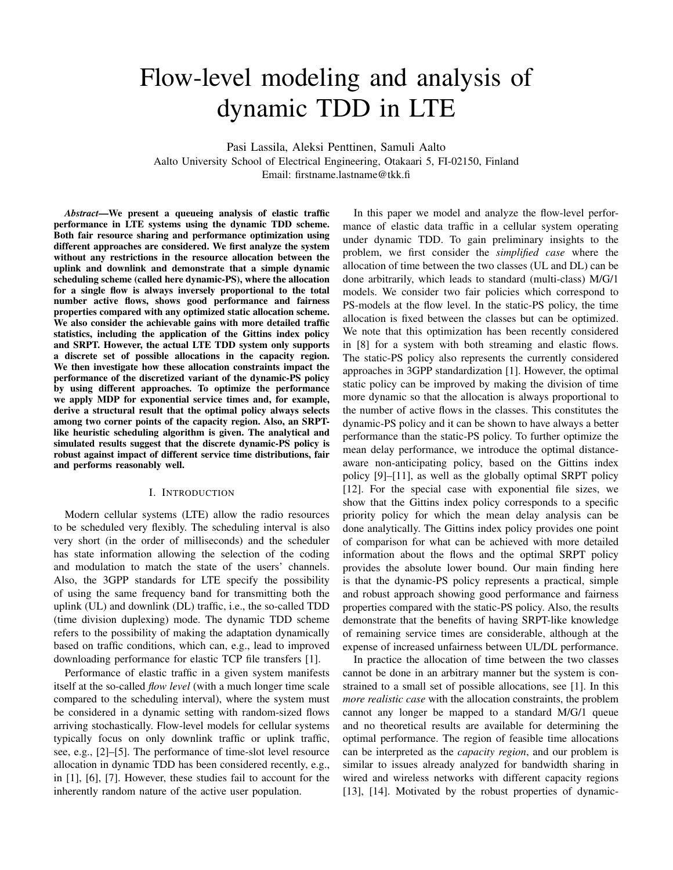# Flow-level modeling and analysis of dynamic TDD in LTE

Pasi Lassila, Aleksi Penttinen, Samuli Aalto Aalto University School of Electrical Engineering, Otakaari 5, FI-02150, Finland Email: firstname.lastname@tkk.fi

*Abstract*—We present a queueing analysis of elastic traffic performance in LTE systems using the dynamic TDD scheme. Both fair resource sharing and performance optimization using different approaches are considered. We first analyze the system without any restrictions in the resource allocation between the uplink and downlink and demonstrate that a simple dynamic scheduling scheme (called here dynamic-PS), where the allocation for a single flow is always inversely proportional to the total number active flows, shows good performance and fairness properties compared with any optimized static allocation scheme. We also consider the achievable gains with more detailed traffic statistics, including the application of the Gittins index policy and SRPT. However, the actual LTE TDD system only supports a discrete set of possible allocations in the capacity region. We then investigate how these allocation constraints impact the performance of the discretized variant of the dynamic-PS policy by using different approaches. To optimize the performance we apply MDP for exponential service times and, for example, derive a structural result that the optimal policy always selects among two corner points of the capacity region. Also, an SRPTlike heuristic scheduling algorithm is given. The analytical and simulated results suggest that the discrete dynamic-PS policy is robust against impact of different service time distributions, fair and performs reasonably well.

## I. INTRODUCTION

Modern cellular systems (LTE) allow the radio resources to be scheduled very flexibly. The scheduling interval is also very short (in the order of milliseconds) and the scheduler has state information allowing the selection of the coding and modulation to match the state of the users' channels. Also, the 3GPP standards for LTE specify the possibility of using the same frequency band for transmitting both the uplink (UL) and downlink (DL) traffic, i.e., the so-called TDD (time division duplexing) mode. The dynamic TDD scheme refers to the possibility of making the adaptation dynamically based on traffic conditions, which can, e.g., lead to improved downloading performance for elastic TCP file transfers [1].

Performance of elastic traffic in a given system manifests itself at the so-called *flow level* (with a much longer time scale compared to the scheduling interval), where the system must be considered in a dynamic setting with random-sized flows arriving stochastically. Flow-level models for cellular systems typically focus on only downlink traffic or uplink traffic, see, e.g., [2]–[5]. The performance of time-slot level resource allocation in dynamic TDD has been considered recently, e.g., in [1], [6], [7]. However, these studies fail to account for the inherently random nature of the active user population.

In this paper we model and analyze the flow-level performance of elastic data traffic in a cellular system operating under dynamic TDD. To gain preliminary insights to the problem, we first consider the *simplified case* where the allocation of time between the two classes (UL and DL) can be done arbitrarily, which leads to standard (multi-class) M/G/1 models. We consider two fair policies which correspond to PS-models at the flow level. In the static-PS policy, the time allocation is fixed between the classes but can be optimized. We note that this optimization has been recently considered in [8] for a system with both streaming and elastic flows. The static-PS policy also represents the currently considered approaches in 3GPP standardization [1]. However, the optimal static policy can be improved by making the division of time more dynamic so that the allocation is always proportional to the number of active flows in the classes. This constitutes the dynamic-PS policy and it can be shown to have always a better performance than the static-PS policy. To further optimize the mean delay performance, we introduce the optimal distanceaware non-anticipating policy, based on the Gittins index policy [9]–[11], as well as the globally optimal SRPT policy [12]. For the special case with exponential file sizes, we show that the Gittins index policy corresponds to a specific priority policy for which the mean delay analysis can be done analytically. The Gittins index policy provides one point of comparison for what can be achieved with more detailed information about the flows and the optimal SRPT policy provides the absolute lower bound. Our main finding here is that the dynamic-PS policy represents a practical, simple and robust approach showing good performance and fairness properties compared with the static-PS policy. Also, the results demonstrate that the benefits of having SRPT-like knowledge of remaining service times are considerable, although at the expense of increased unfairness between UL/DL performance.

In practice the allocation of time between the two classes cannot be done in an arbitrary manner but the system is constrained to a small set of possible allocations, see [1]. In this *more realistic case* with the allocation constraints, the problem cannot any longer be mapped to a standard M/G/1 queue and no theoretical results are available for determining the optimal performance. The region of feasible time allocations can be interpreted as the *capacity region*, and our problem is similar to issues already analyzed for bandwidth sharing in wired and wireless networks with different capacity regions [13], [14]. Motivated by the robust properties of dynamic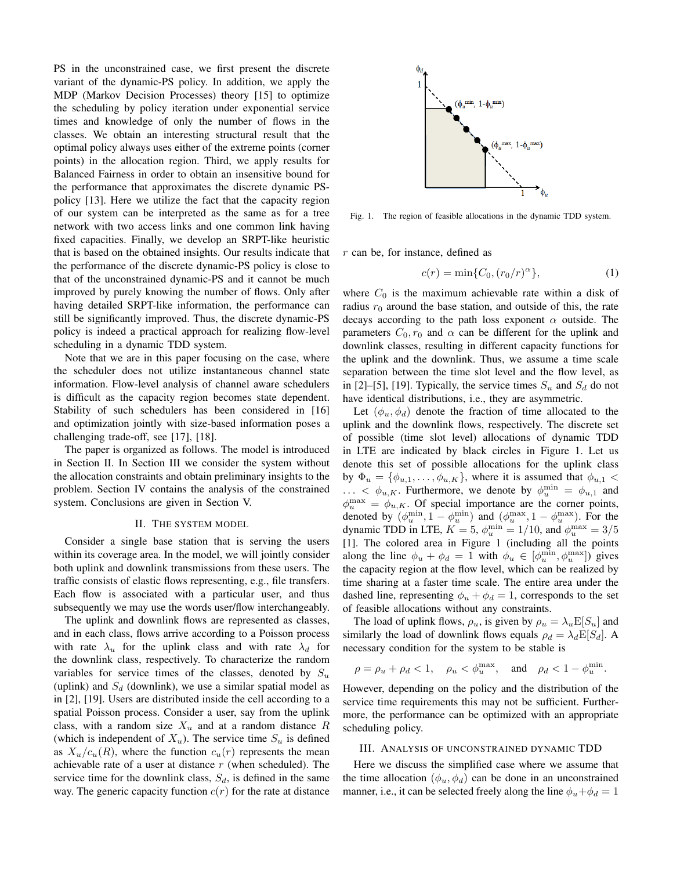PS in the unconstrained case, we first present the discrete variant of the dynamic-PS policy. In addition, we apply the MDP (Markov Decision Processes) theory [15] to optimize the scheduling by policy iteration under exponential service times and knowledge of only the number of flows in the classes. We obtain an interesting structural result that the optimal policy always uses either of the extreme points (corner points) in the allocation region. Third, we apply results for Balanced Fairness in order to obtain an insensitive bound for the performance that approximates the discrete dynamic PSpolicy [13]. Here we utilize the fact that the capacity region of our system can be interpreted as the same as for a tree network with two access links and one common link having fixed capacities. Finally, we develop an SRPT-like heuristic that is based on the obtained insights. Our results indicate that the performance of the discrete dynamic-PS policy is close to that of the unconstrained dynamic-PS and it cannot be much improved by purely knowing the number of flows. Only after having detailed SRPT-like information, the performance can still be significantly improved. Thus, the discrete dynamic-PS policy is indeed a practical approach for realizing flow-level scheduling in a dynamic TDD system.

Note that we are in this paper focusing on the case, where the scheduler does not utilize instantaneous channel state information. Flow-level analysis of channel aware schedulers is difficult as the capacity region becomes state dependent. Stability of such schedulers has been considered in [16] and optimization jointly with size-based information poses a challenging trade-off, see [17], [18].

The paper is organized as follows. The model is introduced in Section II. In Section III we consider the system without the allocation constraints and obtain preliminary insights to the problem. Section IV contains the analysis of the constrained system. Conclusions are given in Section V.

#### II. THE SYSTEM MODEL

Consider a single base station that is serving the users within its coverage area. In the model, we will jointly consider both uplink and downlink transmissions from these users. The traffic consists of elastic flows representing, e.g., file transfers. Each flow is associated with a particular user, and thus subsequently we may use the words user/flow interchangeably.

The uplink and downlink flows are represented as classes, and in each class, flows arrive according to a Poisson process with rate  $\lambda_u$  for the uplink class and with rate  $\lambda_d$  for the downlink class, respectively. To characterize the random variables for service times of the classes, denoted by *S<sup>u</sup>* (uplink) and  $S_d$  (downlink), we use a similar spatial model as in [2], [19]. Users are distributed inside the cell according to a spatial Poisson process. Consider a user, say from the uplink class, with a random size  $X_u$  and at a random distance  $R$ (which is independent of  $X_u$ ). The service time  $S_u$  is defined as  $X_u/c_u(R)$ , where the function  $c_u(r)$  represents the mean achievable rate of a user at distance *r* (when scheduled). The service time for the downlink class,  $S_d$ , is defined in the same way. The generic capacity function  $c(r)$  for the rate at distance



Fig. 1. The region of feasible allocations in the dynamic TDD system.

*r* can be, for instance, defined as

$$
c(r) = \min\{C_0, (r_0/r)^{\alpha}\},
$$
 (1)

where  $C_0$  is the maximum achievable rate within a disk of radius  $r_0$  around the base station, and outside of this, the rate decays according to the path loss exponent *α* outside. The parameters  $C_0$ ,  $r_0$  and  $\alpha$  can be different for the uplink and downlink classes, resulting in different capacity functions for the uplink and the downlink. Thus, we assume a time scale separation between the time slot level and the flow level, as in [2]–[5], [19]. Typically, the service times  $S_u$  and  $S_d$  do not have identical distributions, i.e., they are asymmetric.

Let  $(\phi_u, \phi_d)$  denote the fraction of time allocated to the uplink and the downlink flows, respectively. The discrete set of possible (time slot level) allocations of dynamic TDD in LTE are indicated by black circles in Figure 1. Let us denote this set of possible allocations for the uplink class by  $\Phi_u = \{\phi_{u,1}, \dots, \phi_{u,K}\}\$ , where it is assumed that  $\phi_{u,1}$  $\ldots$  <  $\phi_{u,K}$ . Furthermore, we denote by  $\phi_u^{\min} = \phi_{u,1}$  and  $\phi_u^{\max} = \phi_{u,K}$ . Of special importance are the corner points, denoted by  $(\phi_u^{\min}, 1 - \phi_u^{\min})$  and  $(\phi_u^{\max}, 1 - \phi_u^{\max})$ . For the dynamic TDD in LTE,  $K = 5$ ,  $\phi_u^{\text{min}} = 1/10$ , and  $\phi_u^{\text{max}} = 3/5$ [1]. The colored area in Figure 1 (including all the points along the line  $\phi_u + \phi_d = 1$  with  $\phi_u \in [\phi_u^{\min}, \phi_u^{\max}]$  gives the capacity region at the flow level, which can be realized by time sharing at a faster time scale. The entire area under the dashed line, representing  $\phi_u + \phi_d = 1$ , corresponds to the set of feasible allocations without any constraints.

The load of uplink flows,  $\rho_u$ , is given by  $\rho_u = \lambda_u \mathbb{E}[S_u]$  and similarly the load of downlink flows equals  $\rho_d = \lambda_d \mathbb{E}[S_d]$ . A necessary condition for the system to be stable is

$$
\rho=\rho_u+\rho_d<1,\quad \rho_u<\phi_u^{\max},\quad\text{and}\quad \rho_d<1-\phi_u^{\min}.
$$

However, depending on the policy and the distribution of the service time requirements this may not be sufficient. Furthermore, the performance can be optimized with an appropriate scheduling policy.

#### III. ANALYSIS OF UNCONSTRAINED DYNAMIC TDD

Here we discuss the simplified case where we assume that the time allocation  $(\phi_u, \phi_d)$  can be done in an unconstrained manner, i.e., it can be selected freely along the line  $\phi_u + \phi_d = 1$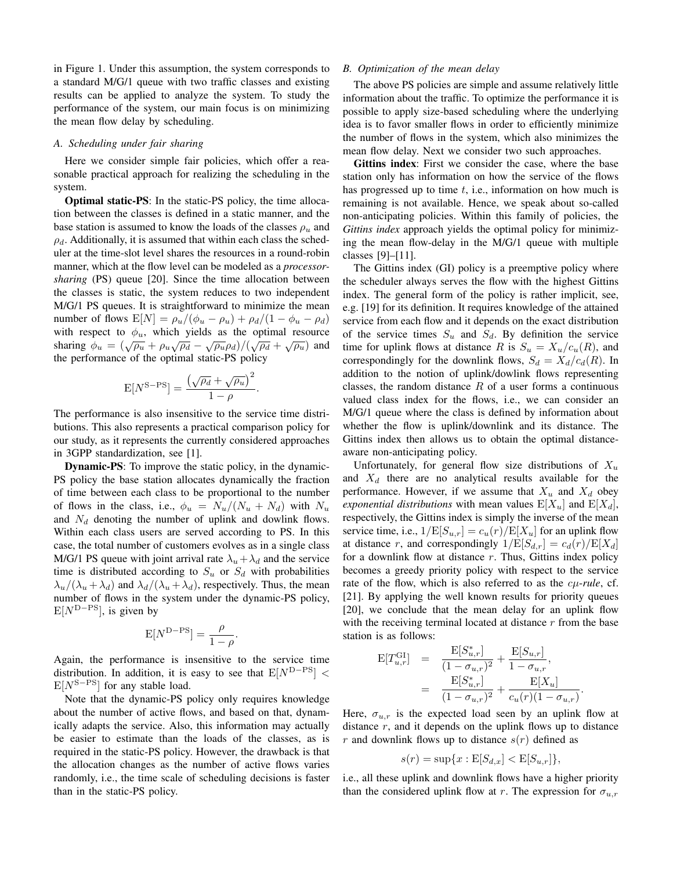in Figure 1. Under this assumption, the system corresponds to a standard M/G/1 queue with two traffic classes and existing results can be applied to analyze the system. To study the performance of the system, our main focus is on minimizing the mean flow delay by scheduling.

#### *A. Scheduling under fair sharing*

Here we consider simple fair policies, which offer a reasonable practical approach for realizing the scheduling in the system.

Optimal static-PS: In the static-PS policy, the time allocation between the classes is defined in a static manner, and the base station is assumed to know the loads of the classes  $\rho_u$  and  $\rho_d$ . Additionally, it is assumed that within each class the scheduler at the time-slot level shares the resources in a round-robin manner, which at the flow level can be modeled as a *processorsharing* (PS) queue [20]. Since the time allocation between the classes is static, the system reduces to two independent M/G/1 PS queues. It is straightforward to minimize the mean number of flows  $E[N] = \rho_u/(\phi_u - \rho_u) + \rho_d/(1 - \phi_u - \rho_d)$ with respect to  $\phi_u$ , which yields as the optimal resource sharing  $\phi_u = (\sqrt{\rho_u} + \rho_u \sqrt{\rho_d} - \sqrt{\rho_u} \rho_d) / (\sqrt{\rho_d} + \sqrt{\rho_u})$  and the performance of the optimal static-PS policy

$$
E[N^{S-PS}] = \frac{(\sqrt{\rho_d} + \sqrt{\rho_u})^2}{1 - \rho}.
$$

The performance is also insensitive to the service time distributions. This also represents a practical comparison policy for our study, as it represents the currently considered approaches in 3GPP standardization, see [1].

Dynamic-PS: To improve the static policy, in the dynamic-PS policy the base station allocates dynamically the fraction of time between each class to be proportional to the number of flows in the class, i.e.,  $\phi_u = N_u/(N_u + N_d)$  with  $N_u$ and *N<sup>d</sup>* denoting the number of uplink and dowlink flows. Within each class users are served according to PS. In this case, the total number of customers evolves as in a single class M/G/1 PS queue with joint arrival rate  $\lambda_u + \lambda_d$  and the service time is distributed according to  $S_u$  or  $S_d$  with probabilities  $\lambda_u/(\lambda_u + \lambda_d)$  and  $\lambda_d/(\lambda_u + \lambda_d)$ , respectively. Thus, the mean number of flows in the system under the dynamic-PS policy, E[*N* <sup>D</sup>*−*PS], is given by

$$
E[N^{D-PS}] = \frac{\rho}{1-\rho}.
$$

Again, the performance is insensitive to the service time distribution. In addition, it is easy to see that  $E[N^{D-PS}]$  < E[*N*<sup>S</sup>*−*PS] for any stable load.

Note that the dynamic-PS policy only requires knowledge about the number of active flows, and based on that, dynamically adapts the service. Also, this information may actually be easier to estimate than the loads of the classes, as is required in the static-PS policy. However, the drawback is that the allocation changes as the number of active flows varies randomly, i.e., the time scale of scheduling decisions is faster than in the static-PS policy.

#### *B. Optimization of the mean delay*

The above PS policies are simple and assume relatively little information about the traffic. To optimize the performance it is possible to apply size-based scheduling where the underlying idea is to favor smaller flows in order to efficiently minimize the number of flows in the system, which also minimizes the mean flow delay. Next we consider two such approaches.

Gittins index: First we consider the case, where the base station only has information on how the service of the flows has progressed up to time *t*, i.e., information on how much is remaining is not available. Hence, we speak about so-called non-anticipating policies. Within this family of policies, the *Gittins index* approach yields the optimal policy for minimizing the mean flow-delay in the M/G/1 queue with multiple classes [9]–[11].

The Gittins index (GI) policy is a preemptive policy where the scheduler always serves the flow with the highest Gittins index. The general form of the policy is rather implicit, see, e.g. [19] for its definition. It requires knowledge of the attained service from each flow and it depends on the exact distribution of the service times  $S_u$  and  $S_d$ . By definition the service time for uplink flows at distance *R* is  $S_u = X_u/c_u(R)$ , and correspondingly for the downlink flows,  $S_d = X_d/c_d(R)$ . In addition to the notion of uplink/dowlink flows representing classes, the random distance *R* of a user forms a continuous valued class index for the flows, i.e., we can consider an M/G/1 queue where the class is defined by information about whether the flow is uplink/downlink and its distance. The Gittins index then allows us to obtain the optimal distanceaware non-anticipating policy.

Unfortunately, for general flow size distributions of *X<sup>u</sup>* and *X<sup>d</sup>* there are no analytical results available for the performance. However, if we assume that  $X_u$  and  $X_d$  obey *exponential distributions* with mean values  $E[X_u]$  and  $E[X_d]$ , respectively, the Gittins index is simply the inverse of the mean service time, i.e.,  $1/E[S_{u,r}] = c_u(r)/E[X_u]$  for an uplink flow at distance *r*, and correspondingly  $1/E[S_{d,r}] = c_d(r)/E[X_d]$ for a downlink flow at distance *r*. Thus, Gittins index policy becomes a greedy priority policy with respect to the service rate of the flow, which is also referred to as the *cµ*-*rule*, cf. [21]. By applying the well known results for priority queues [20], we conclude that the mean delay for an uplink flow with the receiving terminal located at distance *r* from the base station is as follows:

$$
E[T_{u,r}^{\text{GI}}] = \frac{E[S_{u,r}^*]}{(1 - \sigma_{u,r})^2} + \frac{E[S_{u,r}]}{1 - \sigma_{u,r}},
$$
  
= 
$$
\frac{E[S_{u,r}^*]}{(1 - \sigma_{u,r})^2} + \frac{E[X_u]}{c_u(r)(1 - \sigma_{u,r})}.
$$

Here,  $\sigma_{u,r}$  is the expected load seen by an uplink flow at distance *r*, and it depends on the uplink flows up to distance *r* and downlink flows up to distance  $s(r)$  defined as

$$
s(r) = \sup\{x : \mathbb{E}[S_{d,x}] < \mathbb{E}[S_{u,r}]\},
$$

i.e., all these uplink and downlink flows have a higher priority than the considered uplink flow at *r*. The expression for  $\sigma_{u,r}$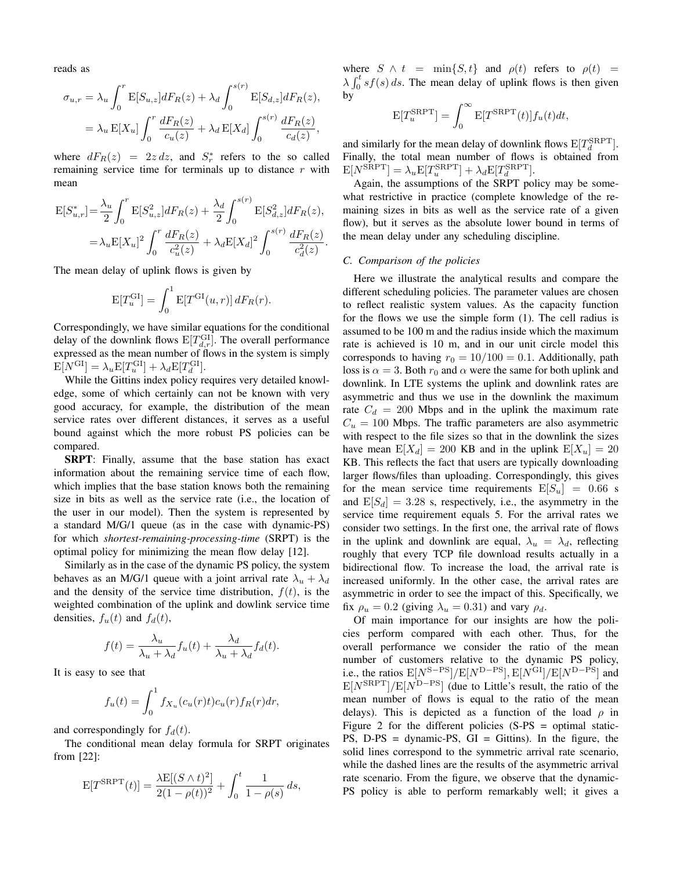reads as

$$
\sigma_{u,r} = \lambda_u \int_0^r \mathbf{E}[S_{u,z}]dF_R(z) + \lambda_d \int_0^{s(r)} \mathbf{E}[S_{d,z}]dF_R(z),
$$
  
=  $\lambda_u \mathbf{E}[X_u] \int_0^r \frac{dF_R(z)}{c_u(z)} + \lambda_d \mathbf{E}[X_d] \int_0^{s(r)} \frac{dF_R(z)}{c_d(z)},$ 

where  $dF_R(z) = 2z dz$ , and  $S_r^*$  refers to the so called remaining service time for terminals up to distance *r* with mean

$$
\begin{split} \mathcal{E}[S_{u,r}^{*}] &= \frac{\lambda_u}{2} \int_0^r \mathcal{E}[S_{u,z}^2] dF_R(z) + \frac{\lambda_d}{2} \int_0^{s(r)} \mathcal{E}[S_{d,z}^2] dF_R(z), \\ &= \lambda_u \mathcal{E}[X_u]^2 \int_0^r \frac{dF_R(z)}{c_u^2(z)} + \lambda_d \mathcal{E}[X_d]^2 \int_0^{s(r)} \frac{dF_R(z)}{c_d^2(z)}. \end{split}
$$

The mean delay of uplink flows is given by

$$
E[T_u^{\text{GI}}] = \int_0^1 E[T^{\text{GI}}(u,r)] \, dF_R(r).
$$

Correspondingly, we have similar equations for the conditional delay of the downlink flows  $E[T_{d,r}^{\text{GI}}]$ . The overall performance expressed as the mean number of flows in the system is simply  $E[N^{GI}] = \lambda_u E[T_u^{GI}] + \lambda_d E[T_d^{GI}].$ 

While the Gittins index policy requires very detailed knowledge, some of which certainly can not be known with very good accuracy, for example, the distribution of the mean service rates over different distances, it serves as a useful bound against which the more robust PS policies can be compared.

SRPT: Finally, assume that the base station has exact information about the remaining service time of each flow, which implies that the base station knows both the remaining size in bits as well as the service rate (i.e., the location of the user in our model). Then the system is represented by a standard M/G/1 queue (as in the case with dynamic-PS) for which *shortest-remaining-processing-time* (SRPT) is the optimal policy for minimizing the mean flow delay [12].

Similarly as in the case of the dynamic PS policy, the system behaves as an M/G/1 queue with a joint arrival rate  $\lambda_u + \lambda_d$ and the density of the service time distribution,  $f(t)$ , is the weighted combination of the uplink and dowlink service time densities,  $f_u(t)$  and  $f_d(t)$ ,

$$
f(t) = \frac{\lambda_u}{\lambda_u + \lambda_d} f_u(t) + \frac{\lambda_d}{\lambda_u + \lambda_d} f_d(t).
$$

It is easy to see that

$$
f_u(t) = \int_0^1 f_{X_u}(c_u(r)t)c_u(r)f_R(r)dr,
$$

and correspondingly for  $f_d(t)$ .

The conditional mean delay formula for SRPT originates from [22]:

$$
E[T^{SRPT}(t)] = \frac{\lambda E[(S \wedge t)^2]}{2(1 - \rho(t))^2} + \int_0^t \frac{1}{1 - \rho(s)} ds,
$$

where  $S \wedge t = \min\{S, t\}$  and  $\rho(t)$  refers to  $\rho(t) =$  $\lambda \int_0^t s f(s) ds$ . The mean delay of uplink flows is then given by

$$
\mathbf{E}[T_u^{\rm SRPT}] = \int_0^\infty \mathbf{E}[T^{\rm SRPT}(t)] f_u(t) dt,
$$

and similarly for the mean delay of downlink flows  $E[T_d^{\text{SRPT}}]$ . Finally, the total mean number of flows is obtained from  $E[N^{SRPT}] = \lambda_u E[T_u^{SRPT}] + \lambda_d E[T_d^{SRPT}].$ 

Again, the assumptions of the SRPT policy may be somewhat restrictive in practice (complete knowledge of the remaining sizes in bits as well as the service rate of a given flow), but it serves as the absolute lower bound in terms of the mean delay under any scheduling discipline.

#### *C. Comparison of the policies*

Here we illustrate the analytical results and compare the different scheduling policies. The parameter values are chosen to reflect realistic system values. As the capacity function for the flows we use the simple form (1). The cell radius is assumed to be 100 m and the radius inside which the maximum rate is achieved is 10 m, and in our unit circle model this corresponds to having  $r_0 = 10/100 = 0.1$ . Additionally, path loss is  $\alpha = 3$ . Both  $r_0$  and  $\alpha$  were the same for both uplink and downlink. In LTE systems the uplink and downlink rates are asymmetric and thus we use in the downlink the maximum rate  $C_d = 200$  Mbps and in the uplink the maximum rate  $C_u = 100$  Mbps. The traffic parameters are also asymmetric with respect to the file sizes so that in the downlink the sizes have mean  $E[X_d] = 200$  KB and in the uplink  $E[X_u] = 20$ KB. This reflects the fact that users are typically downloading larger flows/files than uploading. Correspondingly, this gives for the mean service time requirements  $E[S_u] = 0.66$  s and  $E[S_d] = 3.28$  s, respectively, i.e., the asymmetry in the service time requirement equals 5. For the arrival rates we consider two settings. In the first one, the arrival rate of flows in the uplink and downlink are equal,  $\lambda_u = \lambda_d$ , reflecting roughly that every TCP file download results actually in a bidirectional flow. To increase the load, the arrival rate is increased uniformly. In the other case, the arrival rates are asymmetric in order to see the impact of this. Specifically, we fix  $\rho_u = 0.2$  (giving  $\lambda_u = 0.31$ ) and vary  $\rho_d$ .

Of main importance for our insights are how the policies perform compared with each other. Thus, for the overall performance we consider the ratio of the mean number of customers relative to the dynamic PS policy, i.e., the ratios  $E[N^{S-PS}]/E[N^{D-PS}]$ ,  $E[N^{GI}]/E[N^{D-PS}]$  and E[*N*SRPT]*/*E[*N* <sup>D</sup>*−*PS] (due to Little's result, the ratio of the mean number of flows is equal to the ratio of the mean delays). This is depicted as a function of the load  $\rho$  in Figure 2 for the different policies  $(S-PS =$  optimal static-PS, D-PS = dynamic-PS, GI = Gittins). In the figure, the solid lines correspond to the symmetric arrival rate scenario, while the dashed lines are the results of the asymmetric arrival rate scenario. From the figure, we observe that the dynamic-PS policy is able to perform remarkably well; it gives a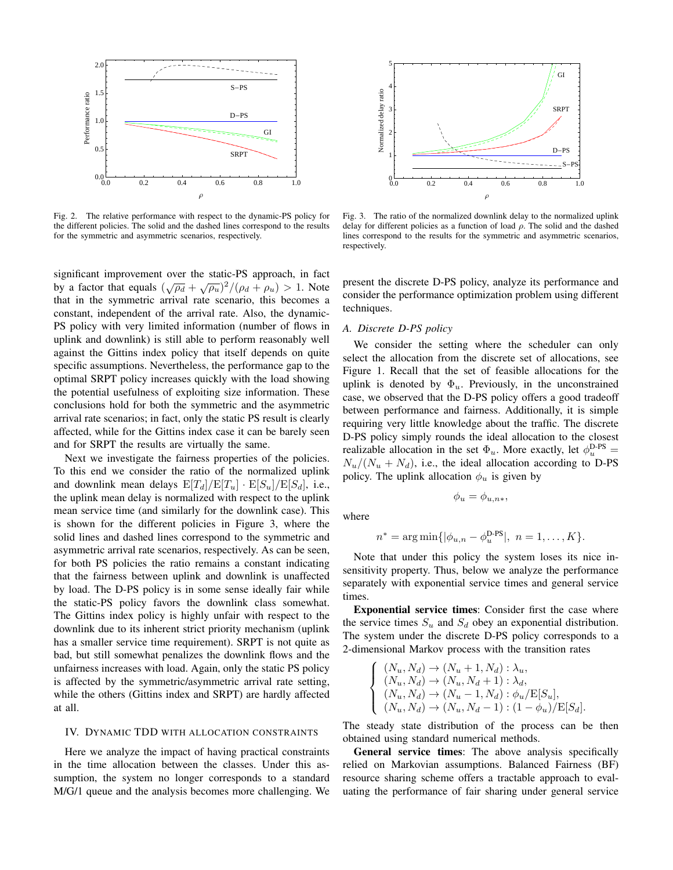

Fig. 2. The relative performance with respect to the dynamic-PS policy for the different policies. The solid and the dashed lines correspond to the results for the symmetric and asymmetric scenarios, respectively.

significant improvement over the static-PS approach, in fact by a factor that equals  $(\sqrt{\rho_d} + \sqrt{\rho_u})^2/(\rho_d + \rho_u) > 1$ . Note that in the symmetric arrival rate scenario, this becomes a constant, independent of the arrival rate. Also, the dynamic-PS policy with very limited information (number of flows in uplink and downlink) is still able to perform reasonably well against the Gittins index policy that itself depends on quite specific assumptions. Nevertheless, the performance gap to the optimal SRPT policy increases quickly with the load showing the potential usefulness of exploiting size information. These conclusions hold for both the symmetric and the asymmetric arrival rate scenarios; in fact, only the static PS result is clearly affected, while for the Gittins index case it can be barely seen and for SRPT the results are virtually the same.

Next we investigate the fairness properties of the policies. To this end we consider the ratio of the normalized uplink and downlink mean delays  $E[T_d]/E[T_u] \cdot E[S_u]/E[S_d]$ , i.e., the uplink mean delay is normalized with respect to the uplink mean service time (and similarly for the downlink case). This is shown for the different policies in Figure 3, where the solid lines and dashed lines correspond to the symmetric and asymmetric arrival rate scenarios, respectively. As can be seen, for both PS policies the ratio remains a constant indicating that the fairness between uplink and downlink is unaffected by load. The D-PS policy is in some sense ideally fair while the static-PS policy favors the downlink class somewhat. The Gittins index policy is highly unfair with respect to the downlink due to its inherent strict priority mechanism (uplink has a smaller service time requirement). SRPT is not quite as bad, but still somewhat penalizes the downlink flows and the unfairness increases with load. Again, only the static PS policy is affected by the symmetric/asymmetric arrival rate setting, while the others (Gittins index and SRPT) are hardly affected at all.

# IV. DYNAMIC TDD WITH ALLOCATION CONSTRAINTS

Here we analyze the impact of having practical constraints in the time allocation between the classes. Under this assumption, the system no longer corresponds to a standard M/G/1 queue and the analysis becomes more challenging. We



Fig. 3. The ratio of the normalized downlink delay to the normalized uplink delay for different policies as a function of load *ρ*. The solid and the dashed lines correspond to the results for the symmetric and asymmetric scenarios, respectively.

present the discrete D-PS policy, analyze its performance and consider the performance optimization problem using different techniques.

#### *A. Discrete D-PS policy*

We consider the setting where the scheduler can only select the allocation from the discrete set of allocations, see Figure 1. Recall that the set of feasible allocations for the uplink is denoted by  $\Phi_u$ . Previously, in the unconstrained case, we observed that the D-PS policy offers a good tradeoff between performance and fairness. Additionally, it is simple requiring very little knowledge about the traffic. The discrete D-PS policy simply rounds the ideal allocation to the closest realizable allocation in the set  $\Phi_u$ . More exactly, let  $\phi_u^{\text{D-PS}} =$  $N_u/(N_u + N_d)$ , i.e., the ideal allocation according to D-PS policy. The uplink allocation  $\phi_u$  is given by

where

$$
n^* = \arg \min \{ |\phi_{u,n} - \phi_u^{\text{D-PS}}|, n = 1, ..., K \}.
$$

 $\phi_u = \phi_{u,n*}$ 

Note that under this policy the system loses its nice insensitivity property. Thus, below we analyze the performance separately with exponential service times and general service times.

Exponential service times: Consider first the case where the service times  $S_u$  and  $S_d$  obey an exponential distribution. The system under the discrete D-PS policy corresponds to a 2-dimensional Markov process with the transition rates

$$
\begin{cases}\n(N_u, N_d) \rightarrow (N_u + 1, N_d) : \lambda_u, \\
(N_u, N_d) \rightarrow (N_u, N_d + 1) : \lambda_d, \\
(N_u, N_d) \rightarrow (N_u - 1, N_d) : \phi_u / \mathbb{E}[S_u], \\
(N_u, N_d) \rightarrow (N_u, N_d - 1) : (1 - \phi_u) / \mathbb{E}[S_d].\n\end{cases}
$$

The steady state distribution of the process can be then obtained using standard numerical methods.

General service times: The above analysis specifically relied on Markovian assumptions. Balanced Fairness (BF) resource sharing scheme offers a tractable approach to evaluating the performance of fair sharing under general service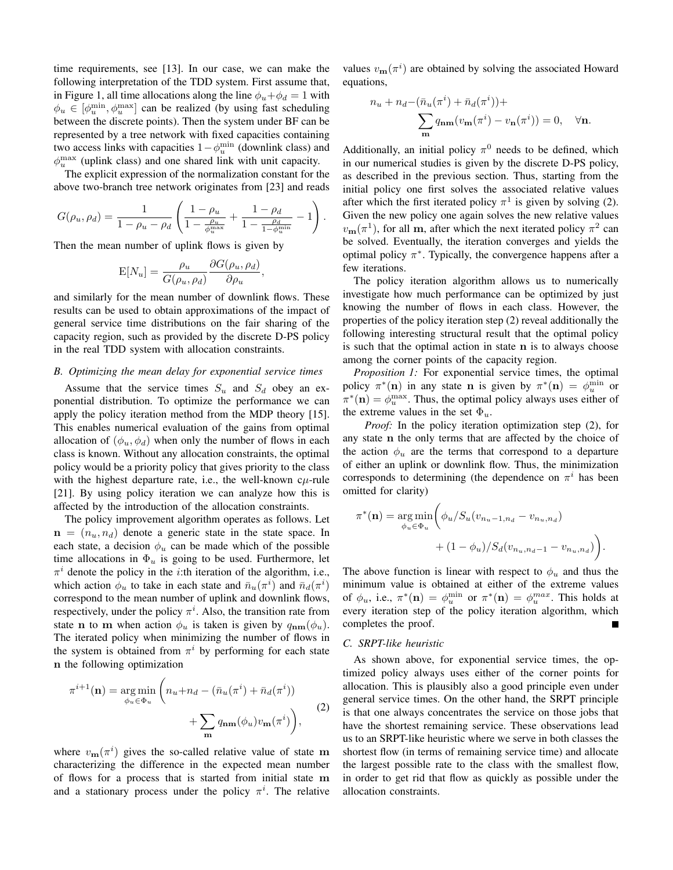time requirements, see [13]. In our case, we can make the following interpretation of the TDD system. First assume that, in Figure 1, all time allocations along the line  $\phi_u + \phi_d = 1$  with  $\phi_u \in [\phi_u^{\min}, \phi_u^{\max}]$  can be realized (by using fast scheduling between the discrete points). Then the system under BF can be represented by a tree network with fixed capacities containing two access links with capacities  $1 - \phi_u^{\text{min}}$  (downlink class) and  $\phi_u^{\text{max}}$  (uplink class) and one shared link with unit capacity.

The explicit expression of the normalization constant for the above two-branch tree network originates from [23] and reads

$$
G(\rho_u, \rho_d) = \frac{1}{1 - \rho_u - \rho_d} \left( \frac{1 - \rho_u}{1 - \frac{\rho_u}{\phi_u^{\max}}} + \frac{1 - \rho_d}{1 - \frac{\rho_d}{1 - \phi_u^{\min}}} - 1 \right).
$$

Then the mean number of uplink flows is given by

$$
E[N_u] = \frac{\rho_u}{G(\rho_u, \rho_d)} \frac{\partial G(\rho_u, \rho_d)}{\partial \rho_u},
$$

and similarly for the mean number of downlink flows. These results can be used to obtain approximations of the impact of general service time distributions on the fair sharing of the capacity region, such as provided by the discrete D-PS policy in the real TDD system with allocation constraints.

# *B. Optimizing the mean delay for exponential service times*

Assume that the service times  $S_u$  and  $S_d$  obey an exponential distribution. To optimize the performance we can apply the policy iteration method from the MDP theory [15]. This enables numerical evaluation of the gains from optimal allocation of  $(\phi_u, \phi_d)$  when only the number of flows in each class is known. Without any allocation constraints, the optimal policy would be a priority policy that gives priority to the class with the highest departure rate, i.e., the well-known c*µ*-rule [21]. By using policy iteration we can analyze how this is affected by the introduction of the allocation constraints.

The policy improvement algorithm operates as follows. Let  $\mathbf{n} = (n_u, n_d)$  denote a generic state in the state space. In each state, a decision  $\phi_u$  can be made which of the possible time allocations in  $\Phi_u$  is going to be used. Furthermore, let  $\pi^{i}$  denote the policy in the *i*:th iteration of the algorithm, i.e., which action  $\phi_u$  to take in each state and  $\bar{n}_u(\pi^i)$  and  $\bar{n}_d(\pi^i)$ correspond to the mean number of uplink and downlink flows, respectively, under the policy  $\pi^i$ . Also, the transition rate from state **n** to **m** when action  $\phi_u$  is taken is given by  $q_{nm}(\phi_u)$ . The iterated policy when minimizing the number of flows in the system is obtained from  $\pi^i$  by performing for each state **n** the following optimization

$$
\pi^{i+1}(\mathbf{n}) = \underset{\phi_u \in \Phi_u}{\arg \min} \left( n_u + n_d - (\bar{n}_u(\pi^i) + \bar{n}_d(\pi^i)) + \sum_{\mathbf{m}} q_{\mathbf{n}\mathbf{m}}(\phi_u) v_{\mathbf{m}}(\pi^i) \right), \tag{2}
$$

where  $v_{\mathbf{m}}(\pi^i)$  gives the so-called relative value of state m characterizing the difference in the expected mean number of flows for a process that is started from initial state **m** and a stationary process under the policy  $\pi^{i}$ . The relative values  $v_{\mathbf{m}}(\pi^i)$  are obtained by solving the associated Howard equations,

$$
n_u + n_d - (\bar{n}_u(\pi^i) + \bar{n}_d(\pi^i)) +
$$
  

$$
\sum_{\mathbf{m}} q_{\mathbf{m}} (v_{\mathbf{m}}(\pi^i) - v_{\mathbf{n}}(\pi^i)) = 0, \quad \forall \mathbf{n}.
$$

Additionally, an initial policy  $\pi^0$  needs to be defined, which in our numerical studies is given by the discrete D-PS policy, as described in the previous section. Thus, starting from the initial policy one first solves the associated relative values after which the first iterated policy  $\pi^1$  is given by solving (2). Given the new policy one again solves the new relative values  $v_{\mathbf{m}}(\pi^1)$ , for all **m**, after which the next iterated policy  $\pi^2$  can be solved. Eventually, the iteration converges and yields the optimal policy  $\pi^*$ . Typically, the convergence happens after a few iterations.

The policy iteration algorithm allows us to numerically investigate how much performance can be optimized by just knowing the number of flows in each class. However, the properties of the policy iteration step (2) reveal additionally the following interesting structural result that the optimal policy is such that the optimal action in state **n** is to always choose among the corner points of the capacity region.

*Proposition 1:* For exponential service times, the optimal policy  $\pi^*(\mathbf{n})$  in any state **n** is given by  $\pi^*(\mathbf{n}) = \phi_u^{\min}$  or  $\pi^*(\mathbf{n}) = \phi_u^{\max}$ . Thus, the optimal policy always uses either of the extreme values in the set  $\Phi_u$ .

*Proof:* In the policy iteration optimization step (2), for any state **n** the only terms that are affected by the choice of the action  $\phi_u$  are the terms that correspond to a departure of either an uplink or downlink flow. Thus, the minimization corresponds to determining (the dependence on  $\pi^i$  has been omitted for clarity)

$$
\pi^*(\mathbf{n}) = \underset{\phi_u \in \Phi_u}{\arg \min} \bigg( \phi_u / S_u (v_{n_u-1, n_d} - v_{n_u, n_d}) + (1 - \phi_u) / S_d (v_{n_u, n_d - 1} - v_{n_u, n_d}) \bigg).
$$

The above function is linear with respect to  $\phi_u$  and thus the minimum value is obtained at either of the extreme values of  $\phi_u$ , i.e.,  $\pi^*(\mathbf{n}) = \phi_u^{\min}$  or  $\pi^*(\mathbf{n}) = \phi_u^{\max}$ . This holds at every iteration step of the policy iteration algorithm, which completes the proof. П

#### *C. SRPT-like heuristic*

As shown above, for exponential service times, the optimized policy always uses either of the corner points for allocation. This is plausibly also a good principle even under general service times. On the other hand, the SRPT principle is that one always concentrates the service on those jobs that have the shortest remaining service. These observations lead us to an SRPT-like heuristic where we serve in both classes the shortest flow (in terms of remaining service time) and allocate the largest possible rate to the class with the smallest flow, in order to get rid that flow as quickly as possible under the allocation constraints.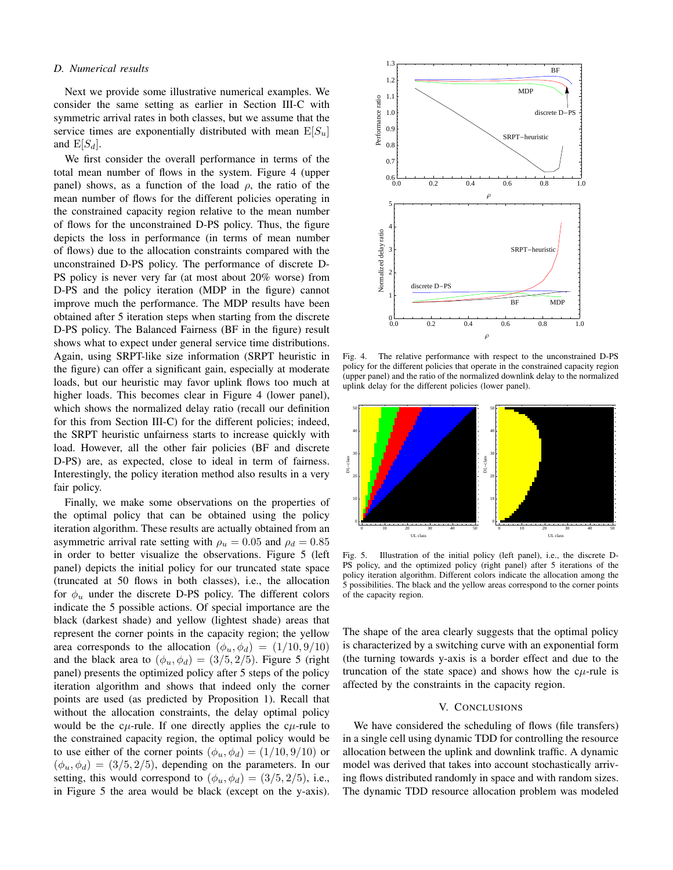#### *D. Numerical results*

Next we provide some illustrative numerical examples. We consider the same setting as earlier in Section III-C with symmetric arrival rates in both classes, but we assume that the service times are exponentially distributed with mean  $E[S_u]$ and  $E[S_d]$ .

We first consider the overall performance in terms of the total mean number of flows in the system. Figure 4 (upper panel) shows, as a function of the load  $\rho$ , the ratio of the mean number of flows for the different policies operating in the constrained capacity region relative to the mean number of flows for the unconstrained D-PS policy. Thus, the figure depicts the loss in performance (in terms of mean number of flows) due to the allocation constraints compared with the unconstrained D-PS policy. The performance of discrete D-PS policy is never very far (at most about 20% worse) from D-PS and the policy iteration (MDP in the figure) cannot improve much the performance. The MDP results have been obtained after 5 iteration steps when starting from the discrete D-PS policy. The Balanced Fairness (BF in the figure) result shows what to expect under general service time distributions. Again, using SRPT-like size information (SRPT heuristic in the figure) can offer a significant gain, especially at moderate loads, but our heuristic may favor uplink flows too much at higher loads. This becomes clear in Figure 4 (lower panel), which shows the normalized delay ratio (recall our definition for this from Section III-C) for the different policies; indeed, the SRPT heuristic unfairness starts to increase quickly with load. However, all the other fair policies (BF and discrete D-PS) are, as expected, close to ideal in term of fairness. Interestingly, the policy iteration method also results in a very fair policy.

Finally, we make some observations on the properties of the optimal policy that can be obtained using the policy iteration algorithm. These results are actually obtained from an asymmetric arrival rate setting with  $\rho_u = 0.05$  and  $\rho_d = 0.85$ in order to better visualize the observations. Figure 5 (left panel) depicts the initial policy for our truncated state space (truncated at 50 flows in both classes), i.e., the allocation for  $\phi_u$  under the discrete D-PS policy. The different colors indicate the 5 possible actions. Of special importance are the black (darkest shade) and yellow (lightest shade) areas that represent the corner points in the capacity region; the yellow area corresponds to the allocation  $(\phi_u, \phi_d) = (1/10, 9/10)$ and the black area to  $(\phi_u, \phi_d) = (3/5, 2/5)$ . Figure 5 (right panel) presents the optimized policy after 5 steps of the policy iteration algorithm and shows that indeed only the corner points are used (as predicted by Proposition 1). Recall that without the allocation constraints, the delay optimal policy would be the c $\mu$ -rule. If one directly applies the c $\mu$ -rule to the constrained capacity region, the optimal policy would be to use either of the corner points  $(\phi_u, \phi_d) = (1/10, 9/10)$  or  $(\phi_u, \phi_d) = (3/5, 2/5)$ , depending on the parameters. In our setting, this would correspond to  $(\phi_u, \phi_d) = (3/5, 2/5)$ , i.e., in Figure 5 the area would be black (except on the y-axis).



Fig. 4. The relative performance with respect to the unconstrained D-PS policy for the different policies that operate in the constrained capacity region (upper panel) and the ratio of the normalized downlink delay to the normalized uplink delay for the different policies (lower panel).



Fig. 5. Illustration of the initial policy (left panel), i.e., the discrete D-PS policy, and the optimized policy (right panel) after 5 iterations of the policy iteration algorithm. Different colors indicate the allocation among the 5 possibilities. The black and the yellow areas correspond to the corner points of the capacity region.

The shape of the area clearly suggests that the optimal policy is characterized by a switching curve with an exponential form (the turning towards y-axis is a border effect and due to the truncation of the state space) and shows how the  $c\mu$ -rule is affected by the constraints in the capacity region.

## V. CONCLUSIONS

We have considered the scheduling of flows (file transfers) in a single cell using dynamic TDD for controlling the resource allocation between the uplink and downlink traffic. A dynamic model was derived that takes into account stochastically arriving flows distributed randomly in space and with random sizes. The dynamic TDD resource allocation problem was modeled